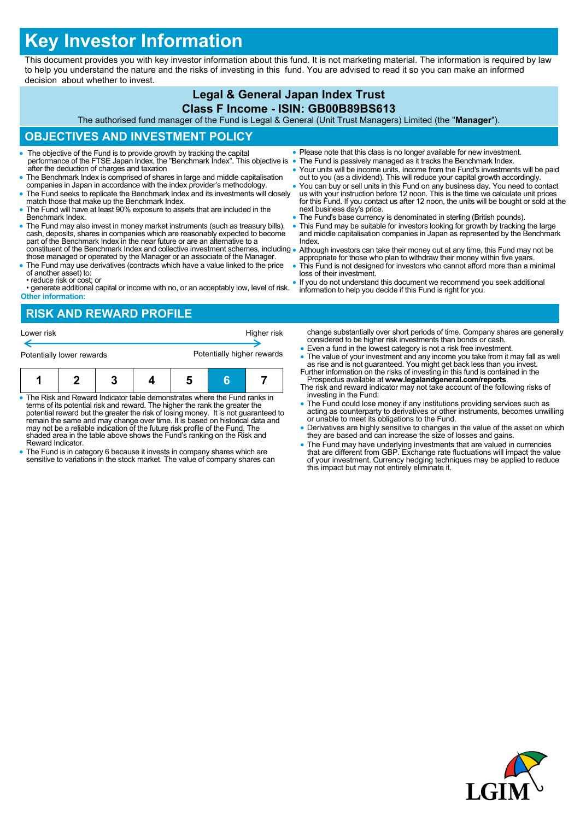# **Key Investor Information**

This document provides you with key investor information about this fund. It is not marketing material. The information is required by law to help you understand the nature and the risks of investing in this fund. You are advised to read it so you can make an informed decision about whether to invest.

# **Legal & General Japan Index Trust**

#### **Class F Income - ISIN: GB00B89BS613**

The authorised fund manager of the Fund is Legal & General (Unit Trust Managers) Limited (the "**Manager**").

## **OBJECTIVES AND INVESTMENT POLICY**

- The objective of the Fund is to provide growth by tracking the capital performance of the FTSE Japan Index, the "Benchmark Index". This objective is after the deduction of charges and taxation
- The Benchmark Index is comprised of shares in large and middle capitalisation companies in Japan in accordance with the index provider's methodology.
- The Fund seeks to replicate the Benchmark Index and its investments will closely match those that make up the Benchmark Index.
- The Fund will have at least 90% exposure to assets that are included in the Benchmark Index.
- The Fund may also invest in money market instruments (such as treasury bills), cash, deposits, shares in companies which are reasonably expected to become part of the Benchmark Index in the near future or are an alternative to a constituent of the Benchmark Index and collective investment schemes, including
- those managed or operated by the Manager or an associate of the Manager. The Fund may use derivatives (contracts which have a value linked to the price
- of another asset) to: • reduce risk or cost; or
- generate additional capital or income with no, or an acceptably low, level of risk. **Other information:**

#### **RISK AND REWARD PROFILE**

| Lower risk                |  |  |  | Higher risk                |   |  |
|---------------------------|--|--|--|----------------------------|---|--|
| Potentially lower rewards |  |  |  | Potentially higher rewards |   |  |
| и                         |  |  |  | n                          | в |  |

- The Risk and Reward Indicator table demonstrates where the Fund ranks in terms of its potential risk and reward. The higher the rank the greater the potential reward but the greater the risk of losing money. It is not guaranteed to remain the same and may change over time. It is based on historical data and may not be a reliable indication of the future risk profile of the Fund. The shaded area in the table above shows the Fund's ranking on the Risk and Reward Indicator.
- The Fund is in category 6 because it invests in company shares which are sensitive to variations in the stock market. The value of company shares can
- Please note that this class is no longer available for new investment.
- The Fund is passively managed as it tracks the Benchmark Index.
- Your units will be income units. Income from the Fund's investments will be paid out to you (as a dividend). This will reduce your capital growth accordingly.
- You can buy or sell units in this Fund on any business day. You need to contact us with your instruction before 12 noon. This is the time we calculate unit prices for this Fund. If you contact us after 12 noon, the units will be bought or sold at the next business day's price.
- The Fund's base currency is denominated in sterling (British pounds).
- This Fund may be suitable for investors looking for growth by tracking the large and middle capitalisation companies in Japan as represented by the Benchmark **Index**
- Although investors can take their money out at any time, this Fund may not be appropriate for those who plan to withdraw their money within five years.
- This Fund is not designed for investors who cannot afford more than a minimal loss of their investment.
- If you do not understand this document we recommend you seek additional information to help you decide if this Fund is right for you.

change substantially over short periods of time. Company shares are generally considered to be higher risk investments than bonds or cash.

- Even a fund in the lowest category is not a risk free investment.
- The value of your investment and any income you take from it may fall as well as rise and is not guaranteed. You might get back less than you invest. Further information on the risks of investing in this fund is containe
- Prospectus available at **www.legalandgeneral.com/reports**. The risk and reward indicator may not take account of the following risks of
- investing in the Fund: The Fund could lose money if any institutions providing services such as acting as counterparty to derivatives or other instruments, becomes unwilling or unable to meet its obligations to the Fund.
- Derivatives are highly sensitive to changes in the value of the asset on which they are based and can increase the size of losses and gains.
- The Fund may have underlying investments that are valued in currencies<br>that are different from GBP. Exchange rate fluctuations will impact the value<br>of your investment. Currency hedging techniques may be applied to reduc